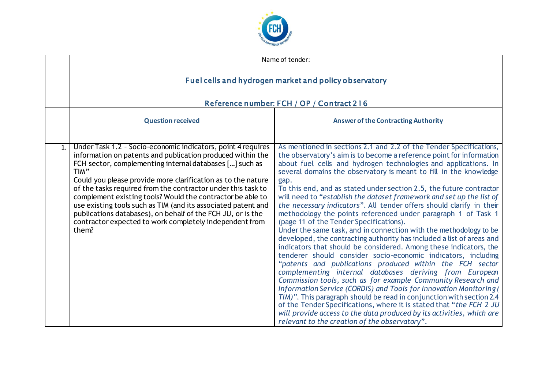

|    | Name of tender:                                                                                                                                                                                                                                                                                                                                                                                                                                                                                                                                                                                 |                                                                                                                                                                                                                                                                                                                                                                                                                                                                                                                                                                                                                                                                                                                                                                                                                                                                                                                                                                                                                                                                                                                                                                                                                                                                                                                                                                                                                                                         |
|----|-------------------------------------------------------------------------------------------------------------------------------------------------------------------------------------------------------------------------------------------------------------------------------------------------------------------------------------------------------------------------------------------------------------------------------------------------------------------------------------------------------------------------------------------------------------------------------------------------|---------------------------------------------------------------------------------------------------------------------------------------------------------------------------------------------------------------------------------------------------------------------------------------------------------------------------------------------------------------------------------------------------------------------------------------------------------------------------------------------------------------------------------------------------------------------------------------------------------------------------------------------------------------------------------------------------------------------------------------------------------------------------------------------------------------------------------------------------------------------------------------------------------------------------------------------------------------------------------------------------------------------------------------------------------------------------------------------------------------------------------------------------------------------------------------------------------------------------------------------------------------------------------------------------------------------------------------------------------------------------------------------------------------------------------------------------------|
|    | Fuel cells and hydrogen market and policy observatory                                                                                                                                                                                                                                                                                                                                                                                                                                                                                                                                           |                                                                                                                                                                                                                                                                                                                                                                                                                                                                                                                                                                                                                                                                                                                                                                                                                                                                                                                                                                                                                                                                                                                                                                                                                                                                                                                                                                                                                                                         |
|    | Reference number: FCH / OP / Contract 216                                                                                                                                                                                                                                                                                                                                                                                                                                                                                                                                                       |                                                                                                                                                                                                                                                                                                                                                                                                                                                                                                                                                                                                                                                                                                                                                                                                                                                                                                                                                                                                                                                                                                                                                                                                                                                                                                                                                                                                                                                         |
|    | <b>Question received</b>                                                                                                                                                                                                                                                                                                                                                                                                                                                                                                                                                                        | <b>Answer of the Contracting Authority</b>                                                                                                                                                                                                                                                                                                                                                                                                                                                                                                                                                                                                                                                                                                                                                                                                                                                                                                                                                                                                                                                                                                                                                                                                                                                                                                                                                                                                              |
| 1. | Under Task 1.2 - Socio-economic indicators, point 4 requires<br>information on patents and publication produced within the<br>FCH sector, complementing internal databases [] such as<br>TIM"<br>Could you please provide more clarification as to the nature<br>of the tasks required from the contractor under this task to<br>complement existing tools? Would the contractor be able to<br>use existing tools such as TIM (and its associated patent and<br>publications databases), on behalf of the FCH JU, or is the<br>contractor expected to work completely independent from<br>them? | As mentioned in sections 2.1 and 2.2 of the Tender Specifications,<br>the observatory's aim is to become a reference point for information<br>about fuel cells and hydrogen technologies and applications. In<br>several domains the observatory is meant to fill in the knowledge<br>gap.<br>To this end, and as stated under section 2.5, the future contractor<br>will need to "establish the dataset framework and set up the list of<br>the necessary indicators". All tender offers should clarify in their<br>methodology the points referenced under paragraph 1 of Task 1<br>(page 11 of the Tender Specifications).<br>Under the same task, and in connection with the methodology to be<br>developed, the contracting authority has included a list of areas and<br>indicators that should be considered. Among these indicators, the<br>tenderer should consider socio-economic indicators, including<br>"patents and publications produced within the FCH sector<br>complementing internal databases deriving from European<br>Commission tools, such as for example Community Research and<br>Information Service (CORDIS) and Tools for Innovation Monitoring (<br>TIM)". This paragraph should be read in conjunction with section 2.4<br>of the Tender Specifications, where it is stated that "the FCH 2 JU<br>will provide access to the data produced by its activities, which are<br>relevant to the creation of the observatory". |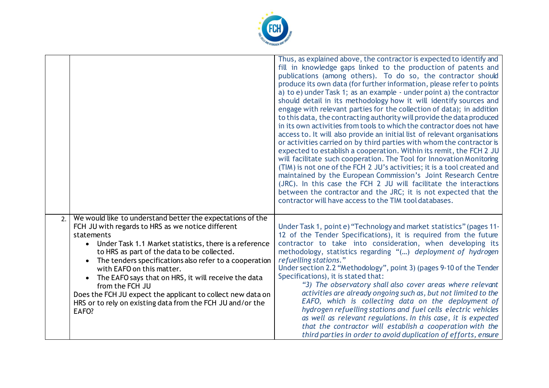

|    |                                                                                                                                                                                                                                                                                                                                                                                                                                                                                                                                                 | Thus, as explained above, the contractor is expected to identify and<br>fill in knowledge gaps linked to the production of patents and<br>publications (among others). To do so, the contractor should<br>produce its own data (for further information, please refer to points<br>a) to e) under Task 1; as an example - under point a) the contractor<br>should detail in its methodology how it will identify sources and<br>engage with relevant parties for the collection of data); in addition<br>to this data, the contracting authority will provide the data produced<br>in its own activities from tools to which the contractor does not have<br>access to. It will also provide an initial list of relevant organisations<br>or activities carried on by third parties with whom the contractor is<br>expected to establish a cooperation. Within its remit, the FCH 2 JU<br>will facilitate such cooperation. The Tool for Innovation Monitoring<br>(TIM) is not one of the FCH 2 JU's activities; it is a tool created and<br>maintained by the European Commission's Joint Research Centre<br>(JRC). In this case the FCH 2 JU will facilitate the interactions<br>between the contractor and the JRC; it is not expected that the<br>contractor will have access to the TIM tool databases. |
|----|-------------------------------------------------------------------------------------------------------------------------------------------------------------------------------------------------------------------------------------------------------------------------------------------------------------------------------------------------------------------------------------------------------------------------------------------------------------------------------------------------------------------------------------------------|--------------------------------------------------------------------------------------------------------------------------------------------------------------------------------------------------------------------------------------------------------------------------------------------------------------------------------------------------------------------------------------------------------------------------------------------------------------------------------------------------------------------------------------------------------------------------------------------------------------------------------------------------------------------------------------------------------------------------------------------------------------------------------------------------------------------------------------------------------------------------------------------------------------------------------------------------------------------------------------------------------------------------------------------------------------------------------------------------------------------------------------------------------------------------------------------------------------------------------------------------------------------------------------------------------------|
| 2. | We would like to understand better the expectations of the<br>FCH JU with regards to HRS as we notice different<br>statements<br>• Under Task 1.1 Market statistics, there is a reference<br>to HRS as part of the data to be collected.<br>The tenders specifications also refer to a cooperation<br>with EAFO on this matter.<br>The EAFO says that on HRS, it will receive the data<br>from the FCH JU<br>Does the FCH JU expect the applicant to collect new data on<br>HRS or to rely on existing data from the FCH JU and/or the<br>EAFO? | Under Task 1, point e) "Technology and market statistics" (pages 11-<br>12 of the Tender Specifications), it is required from the future<br>contractor to take into consideration, when developing its<br>methodology, statistics regarding "() deployment of hydrogen<br>refuelling stations."<br>Under section 2.2 "Methodology", point 3) (pages 9-10 of the Tender<br>Specifications), it is stated that:<br>"3) The observatory shall also cover areas where relevant<br>activities are already ongoing such as, but not limited to the<br>EAFO, which is collecting data on the deployment of<br>hydrogen refuelling stations and fuel cells electric vehicles<br>as well as relevant regulations. In this case, it is expected<br>that the contractor will establish a cooperation with the<br>third parties in order to avoid duplication of efforts, ensure                                                                                                                                                                                                                                                                                                                                                                                                                                         |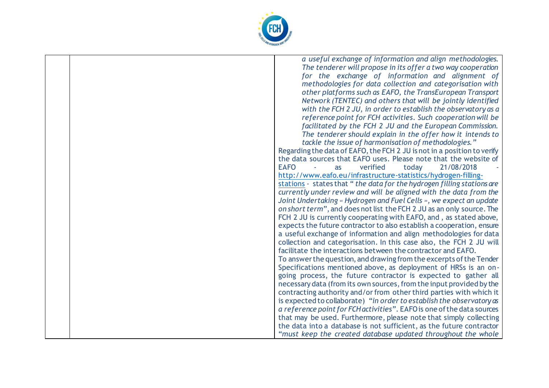

|  | a useful exchange of information and align methodologies.               |
|--|-------------------------------------------------------------------------|
|  | The tenderer will propose in its offer a two way cooperation            |
|  | for the exchange of information and alignment of                        |
|  | methodologies for data collection and categorisation with               |
|  | other platforms such as EAFO, the TransEuropean Transport               |
|  | Network (TENTEC) and others that will be jointly identified             |
|  | with the FCH 2 JU, in order to establish the observatory as a           |
|  | reference point for FCH activities. Such cooperation will be            |
|  | facilitated by the FCH 2 JU and the European Commission.                |
|  | The tenderer should explain in the offer how it intends to              |
|  | tackle the issue of harmonisation of methodologies."                    |
|  | Regarding the data of EAFO, the FCH 2 JU is not in a position to verify |
|  | the data sources that EAFO uses. Please note that the website of        |
|  | <b>EAFO</b><br>verified<br>21/08/2018<br>today<br>as                    |
|  | http://www.eafo.eu/infrastructure-statistics/hydrogen-filling-          |
|  | stations - states that "the data for the hydrogen filling stations are  |
|  | currently under review and will be aligned with the data from the       |
|  | Joint Undertaking « Hydrogen and Fuel Cells », we expect an update      |
|  | on short term", and does not list the FCH 2 JU as an only source. The   |
|  | FCH 2 JU is currently cooperating with EAFO, and, as stated above,      |
|  | expects the future contractor to also establish a cooperation, ensure   |
|  | a useful exchange of information and align methodologies for data       |
|  | collection and categorisation. In this case also, the FCH 2 JU will     |
|  | facilitate the interactions between the contractor and EAFO.            |
|  | To answer the question, and drawing from the excerpts of the Tender     |
|  | Specifications mentioned above, as deployment of HRSs is an on-         |
|  | going process, the future contractor is expected to gather all          |
|  | necessary data (from its own sources, from the input provided by the    |
|  | contracting authority and/or from other third parties with which it     |
|  | is expected to collaborate) "in order to establish the observatory as   |
|  | a reference point for FCH activities". EAFO is one of the data sources  |
|  | that may be used. Furthermore, please note that simply collecting       |
|  | the data into a database is not sufficient, as the future contractor    |
|  | "must keep the created database updated throughout the whole            |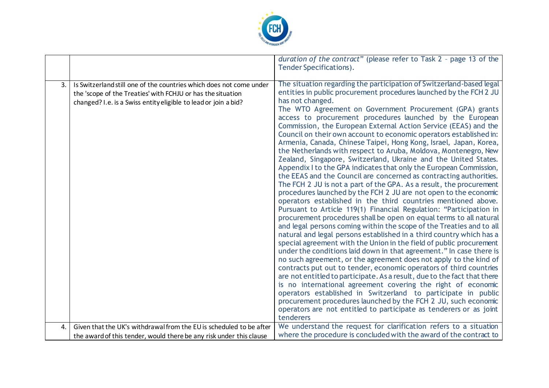

|                |                                                                                                                                                                                                       | duration of the contract" (please refer to Task 2 - page 13 of the<br><b>Tender Specifications).</b>                                                                                                                                                                                                                                                                                                                                                                                                                                                                                                                                                                                                                                                                                                                                                                                                                                                                                                                                                                                                                                                                                                                                                                                                                                                                                                                                                                                                                                                                                                                                                                                                                                                                                                                                                                                                                                                       |
|----------------|-------------------------------------------------------------------------------------------------------------------------------------------------------------------------------------------------------|------------------------------------------------------------------------------------------------------------------------------------------------------------------------------------------------------------------------------------------------------------------------------------------------------------------------------------------------------------------------------------------------------------------------------------------------------------------------------------------------------------------------------------------------------------------------------------------------------------------------------------------------------------------------------------------------------------------------------------------------------------------------------------------------------------------------------------------------------------------------------------------------------------------------------------------------------------------------------------------------------------------------------------------------------------------------------------------------------------------------------------------------------------------------------------------------------------------------------------------------------------------------------------------------------------------------------------------------------------------------------------------------------------------------------------------------------------------------------------------------------------------------------------------------------------------------------------------------------------------------------------------------------------------------------------------------------------------------------------------------------------------------------------------------------------------------------------------------------------------------------------------------------------------------------------------------------------|
| $\mathbf{3}$ . | Is Switzerland still one of the countries which does not come under<br>the 'scope of the Treaties' with FCHJU or has the situation<br>changed? I.e. is a Swiss entity eligible to lead or join a bid? | The situation regarding the participation of Switzerland-based legal<br>entities in public procurement procedures launched by the FCH 2 JU<br>has not changed.<br>The WTO Agreement on Government Procurement (GPA) grants<br>access to procurement procedures launched by the European<br>Commission, the European External Action Service (EEAS) and the<br>Council on their own account to economic operators established in:<br>Armenia, Canada, Chinese Taipei, Hong Kong, Israel, Japan, Korea,<br>the Netherlands with respect to Aruba, Moldova, Montenegro, New<br>Zealand, Singapore, Switzerland, Ukraine and the United States.<br>Appendix I to the GPA indicates that only the European Commission,<br>the EEAS and the Council are concerned as contracting authorities.<br>The FCH 2 JU is not a part of the GPA. As a result, the procurement<br>procedures launched by the FCH 2 JU are not open to the economic<br>operators established in the third countries mentioned above.<br>Pursuant to Article 119(1) Financial Regulation: "Participation in<br>procurement procedures shall be open on equal terms to all natural<br>and legal persons coming within the scope of the Treaties and to all<br>natural and legal persons established in a third country which has a<br>special agreement with the Union in the field of public procurement<br>under the conditions laid down in that agreement." In case there is<br>no such agreement, or the agreement does not apply to the kind of<br>contracts put out to tender, economic operators of third countries<br>are not entitled to participate. As a result, due to the fact that there<br>is no international agreement covering the right of economic<br>operators established in Switzerland to participate in public<br>procurement procedures launched by the FCH 2 JU, such economic<br>operators are not entitled to participate as tenderers or as joint<br>tenderers |
| $\mathbf{4}$ . | Given that the UK's withdrawal from the EU is scheduled to be after                                                                                                                                   | We understand the request for clarification refers to a situation<br>where the procedure is concluded with the award of the contract to                                                                                                                                                                                                                                                                                                                                                                                                                                                                                                                                                                                                                                                                                                                                                                                                                                                                                                                                                                                                                                                                                                                                                                                                                                                                                                                                                                                                                                                                                                                                                                                                                                                                                                                                                                                                                    |
|                | the award of this tender, would there be any risk under this clause                                                                                                                                   |                                                                                                                                                                                                                                                                                                                                                                                                                                                                                                                                                                                                                                                                                                                                                                                                                                                                                                                                                                                                                                                                                                                                                                                                                                                                                                                                                                                                                                                                                                                                                                                                                                                                                                                                                                                                                                                                                                                                                            |